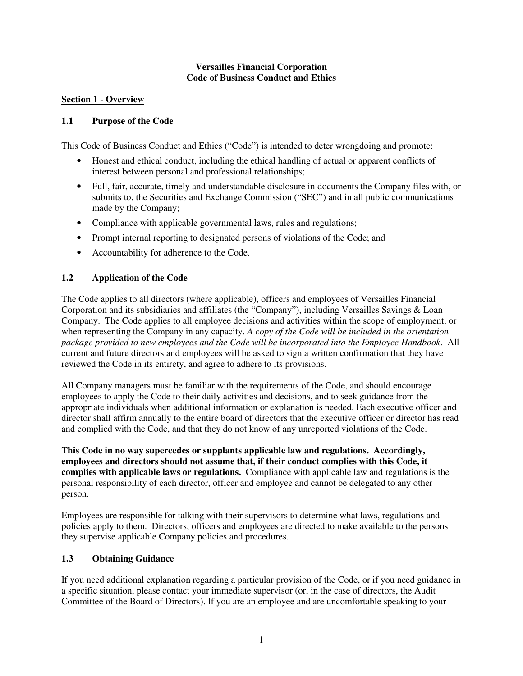#### **Versailles Financial Corporation Code of Business Conduct and Ethics**

#### **Section 1 - Overview**

#### **1.1 Purpose of the Code**

This Code of Business Conduct and Ethics ("Code") is intended to deter wrongdoing and promote:

- Honest and ethical conduct, including the ethical handling of actual or apparent conflicts of interest between personal and professional relationships;
- Full, fair, accurate, timely and understandable disclosure in documents the Company files with, or submits to, the Securities and Exchange Commission ("SEC") and in all public communications made by the Company;
- Compliance with applicable governmental laws, rules and regulations;
- Prompt internal reporting to designated persons of violations of the Code; and
- Accountability for adherence to the Code.

#### **1.2 Application of the Code**

The Code applies to all directors (where applicable), officers and employees of Versailles Financial Corporation and its subsidiaries and affiliates (the "Company"), including Versailles Savings & Loan Company. The Code applies to all employee decisions and activities within the scope of employment, or when representing the Company in any capacity. *A copy of the Code will be included in the orientation package provided to new employees and the Code will be incorporated into the Employee Handbook*. All current and future directors and employees will be asked to sign a written confirmation that they have reviewed the Code in its entirety, and agree to adhere to its provisions.

All Company managers must be familiar with the requirements of the Code, and should encourage employees to apply the Code to their daily activities and decisions, and to seek guidance from the appropriate individuals when additional information or explanation is needed. Each executive officer and director shall affirm annually to the entire board of directors that the executive officer or director has read and complied with the Code, and that they do not know of any unreported violations of the Code.

**This Code in no way supercedes or supplants applicable law and regulations. Accordingly, employees and directors should not assume that, if their conduct complies with this Code, it complies with applicable laws or regulations.** Compliance with applicable law and regulations is the personal responsibility of each director, officer and employee and cannot be delegated to any other person.

Employees are responsible for talking with their supervisors to determine what laws, regulations and policies apply to them. Directors, officers and employees are directed to make available to the persons they supervise applicable Company policies and procedures.

### **1.3 Obtaining Guidance**

If you need additional explanation regarding a particular provision of the Code, or if you need guidance in a specific situation, please contact your immediate supervisor (or, in the case of directors, the Audit Committee of the Board of Directors). If you are an employee and are uncomfortable speaking to your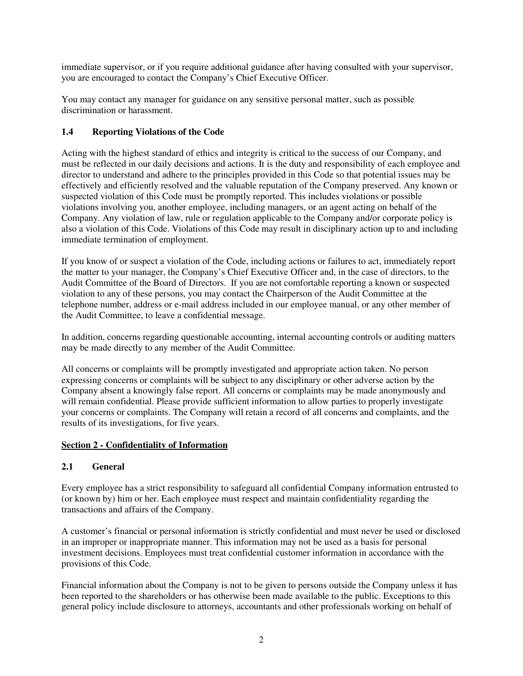immediate supervisor, or if you require additional guidance after having consulted with your supervisor, you are encouraged to contact the Company's Chief Executive Officer.

You may contact any manager for guidance on any sensitive personal matter, such as possible discrimination or harassment.

## **1.4 Reporting Violations of the Code**

Acting with the highest standard of ethics and integrity is critical to the success of our Company, and must be reflected in our daily decisions and actions. It is the duty and responsibility of each employee and director to understand and adhere to the principles provided in this Code so that potential issues may be effectively and efficiently resolved and the valuable reputation of the Company preserved. Any known or suspected violation of this Code must be promptly reported. This includes violations or possible violations involving you, another employee, including managers, or an agent acting on behalf of the Company. Any violation of law, rule or regulation applicable to the Company and/or corporate policy is also a violation of this Code. Violations of this Code may result in disciplinary action up to and including immediate termination of employment.

If you know of or suspect a violation of the Code, including actions or failures to act, immediately report the matter to your manager, the Company's Chief Executive Officer and, in the case of directors, to the Audit Committee of the Board of Directors. If you are not comfortable reporting a known or suspected violation to any of these persons, you may contact the Chairperson of the Audit Committee at the telephone number, address or e-mail address included in our employee manual, or any other member of the Audit Committee, to leave a confidential message.

In addition, concerns regarding questionable accounting, internal accounting controls or auditing matters may be made directly to any member of the Audit Committee.

All concerns or complaints will be promptly investigated and appropriate action taken. No person expressing concerns or complaints will be subject to any disciplinary or other adverse action by the Company absent a knowingly false report. All concerns or complaints may be made anonymously and will remain confidential. Please provide sufficient information to allow parties to properly investigate your concerns or complaints. The Company will retain a record of all concerns and complaints, and the results of its investigations, for five years.

### **Section 2 - Confidentiality of Information**

### **2.1 General**

Every employee has a strict responsibility to safeguard all confidential Company information entrusted to (or known by) him or her. Each employee must respect and maintain confidentiality regarding the transactions and affairs of the Company.

A customer's financial or personal information is strictly confidential and must never be used or disclosed in an improper or inappropriate manner. This information may not be used as a basis for personal investment decisions. Employees must treat confidential customer information in accordance with the provisions of this Code.

Financial information about the Company is not to be given to persons outside the Company unless it has been reported to the shareholders or has otherwise been made available to the public. Exceptions to this general policy include disclosure to attorneys, accountants and other professionals working on behalf of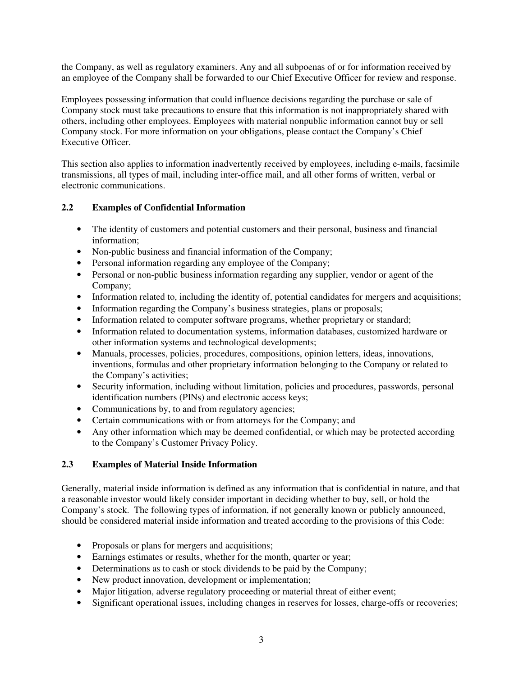the Company, as well as regulatory examiners. Any and all subpoenas of or for information received by an employee of the Company shall be forwarded to our Chief Executive Officer for review and response.

Employees possessing information that could influence decisions regarding the purchase or sale of Company stock must take precautions to ensure that this information is not inappropriately shared with others, including other employees. Employees with material nonpublic information cannot buy or sell Company stock. For more information on your obligations, please contact the Company's Chief Executive Officer.

This section also applies to information inadvertently received by employees, including e-mails, facsimile transmissions, all types of mail, including inter-office mail, and all other forms of written, verbal or electronic communications.

### **2.2 Examples of Confidential Information**

- The identity of customers and potential customers and their personal, business and financial information;
- Non-public business and financial information of the Company;
- Personal information regarding any employee of the Company;
- Personal or non-public business information regarding any supplier, vendor or agent of the Company;
- Information related to, including the identity of, potential candidates for mergers and acquisitions;
- Information regarding the Company's business strategies, plans or proposals;
- Information related to computer software programs, whether proprietary or standard;
- Information related to documentation systems, information databases, customized hardware or other information systems and technological developments;
- Manuals, processes, policies, procedures, compositions, opinion letters, ideas, innovations, inventions, formulas and other proprietary information belonging to the Company or related to the Company's activities;
- Security information, including without limitation, policies and procedures, passwords, personal identification numbers (PINs) and electronic access keys;
- Communications by, to and from regulatory agencies;
- Certain communications with or from attorneys for the Company; and
- Any other information which may be deemed confidential, or which may be protected according to the Company's Customer Privacy Policy.

### **2.3 Examples of Material Inside Information**

Generally, material inside information is defined as any information that is confidential in nature, and that a reasonable investor would likely consider important in deciding whether to buy, sell, or hold the Company's stock. The following types of information, if not generally known or publicly announced, should be considered material inside information and treated according to the provisions of this Code:

- Proposals or plans for mergers and acquisitions;
- Earnings estimates or results, whether for the month, quarter or year;
- Determinations as to cash or stock dividends to be paid by the Company;
- New product innovation, development or implementation;
- Major litigation, adverse regulatory proceeding or material threat of either event;
- Significant operational issues, including changes in reserves for losses, charge-offs or recoveries;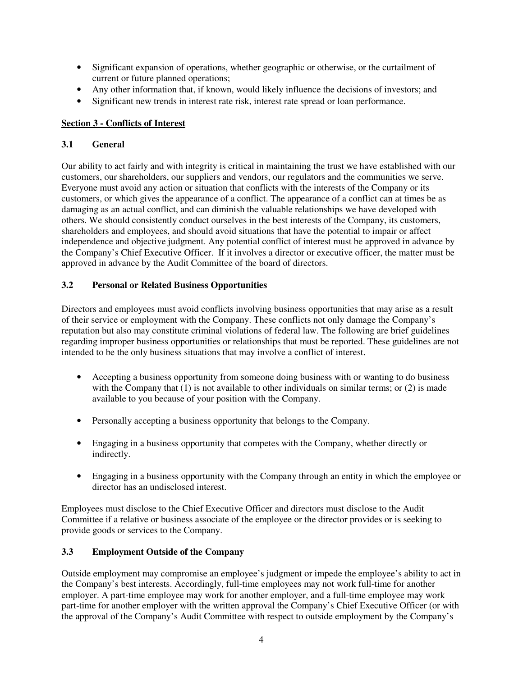- Significant expansion of operations, whether geographic or otherwise, or the curtailment of current or future planned operations;
- Any other information that, if known, would likely influence the decisions of investors; and
- Significant new trends in interest rate risk, interest rate spread or loan performance.

### **Section 3 - Conflicts of Interest**

### **3.1 General**

Our ability to act fairly and with integrity is critical in maintaining the trust we have established with our customers, our shareholders, our suppliers and vendors, our regulators and the communities we serve. Everyone must avoid any action or situation that conflicts with the interests of the Company or its customers, or which gives the appearance of a conflict. The appearance of a conflict can at times be as damaging as an actual conflict, and can diminish the valuable relationships we have developed with others. We should consistently conduct ourselves in the best interests of the Company, its customers, shareholders and employees, and should avoid situations that have the potential to impair or affect independence and objective judgment. Any potential conflict of interest must be approved in advance by the Company's Chief Executive Officer. If it involves a director or executive officer, the matter must be approved in advance by the Audit Committee of the board of directors.

### **3.2 Personal or Related Business Opportunities**

Directors and employees must avoid conflicts involving business opportunities that may arise as a result of their service or employment with the Company. These conflicts not only damage the Company's reputation but also may constitute criminal violations of federal law. The following are brief guidelines regarding improper business opportunities or relationships that must be reported. These guidelines are not intended to be the only business situations that may involve a conflict of interest.

- Accepting a business opportunity from someone doing business with or wanting to do business with the Company that  $(1)$  is not available to other individuals on similar terms; or  $(2)$  is made available to you because of your position with the Company.
- Personally accepting a business opportunity that belongs to the Company.
- Engaging in a business opportunity that competes with the Company, whether directly or indirectly.
- Engaging in a business opportunity with the Company through an entity in which the employee or director has an undisclosed interest.

Employees must disclose to the Chief Executive Officer and directors must disclose to the Audit Committee if a relative or business associate of the employee or the director provides or is seeking to provide goods or services to the Company.

# **3.3 Employment Outside of the Company**

Outside employment may compromise an employee's judgment or impede the employee's ability to act in the Company's best interests. Accordingly, full-time employees may not work full-time for another employer. A part-time employee may work for another employer, and a full-time employee may work part-time for another employer with the written approval the Company's Chief Executive Officer (or with the approval of the Company's Audit Committee with respect to outside employment by the Company's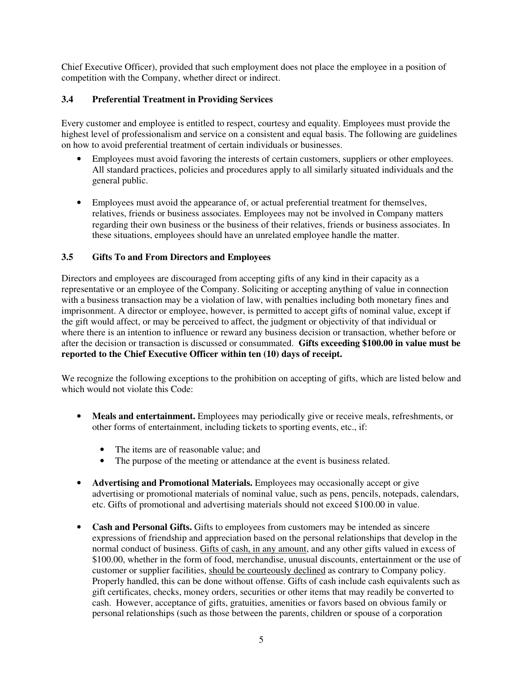Chief Executive Officer), provided that such employment does not place the employee in a position of competition with the Company, whether direct or indirect.

## **3.4 Preferential Treatment in Providing Services**

Every customer and employee is entitled to respect, courtesy and equality. Employees must provide the highest level of professionalism and service on a consistent and equal basis. The following are guidelines on how to avoid preferential treatment of certain individuals or businesses.

- Employees must avoid favoring the interests of certain customers, suppliers or other employees. All standard practices, policies and procedures apply to all similarly situated individuals and the general public.
- Employees must avoid the appearance of, or actual preferential treatment for themselves, relatives, friends or business associates. Employees may not be involved in Company matters regarding their own business or the business of their relatives, friends or business associates. In these situations, employees should have an unrelated employee handle the matter.

#### **3.5 Gifts To and From Directors and Employees**

Directors and employees are discouraged from accepting gifts of any kind in their capacity as a representative or an employee of the Company. Soliciting or accepting anything of value in connection with a business transaction may be a violation of law, with penalties including both monetary fines and imprisonment. A director or employee, however, is permitted to accept gifts of nominal value, except if the gift would affect, or may be perceived to affect, the judgment or objectivity of that individual or where there is an intention to influence or reward any business decision or transaction, whether before or after the decision or transaction is discussed or consummated. **Gifts exceeding \$100.00 in value must be reported to the Chief Executive Officer within ten (10) days of receipt.**

We recognize the following exceptions to the prohibition on accepting of gifts, which are listed below and which would not violate this Code:

- Meals and entertainment. Employees may periodically give or receive meals, refreshments, or other forms of entertainment, including tickets to sporting events, etc., if:
	- The items are of reasonable value; and
	- The purpose of the meeting or attendance at the event is business related.
- **Advertising and Promotional Materials.** Employees may occasionally accept or give advertising or promotional materials of nominal value, such as pens, pencils, notepads, calendars, etc. Gifts of promotional and advertising materials should not exceed \$100.00 in value.
- **Cash and Personal Gifts.** Gifts to employees from customers may be intended as sincere expressions of friendship and appreciation based on the personal relationships that develop in the normal conduct of business. Gifts of cash, in any amount, and any other gifts valued in excess of \$100.00, whether in the form of food, merchandise, unusual discounts, entertainment or the use of customer or supplier facilities, should be courteously declined as contrary to Company policy. Properly handled, this can be done without offense. Gifts of cash include cash equivalents such as gift certificates, checks, money orders, securities or other items that may readily be converted to cash. However, acceptance of gifts, gratuities, amenities or favors based on obvious family or personal relationships (such as those between the parents, children or spouse of a corporation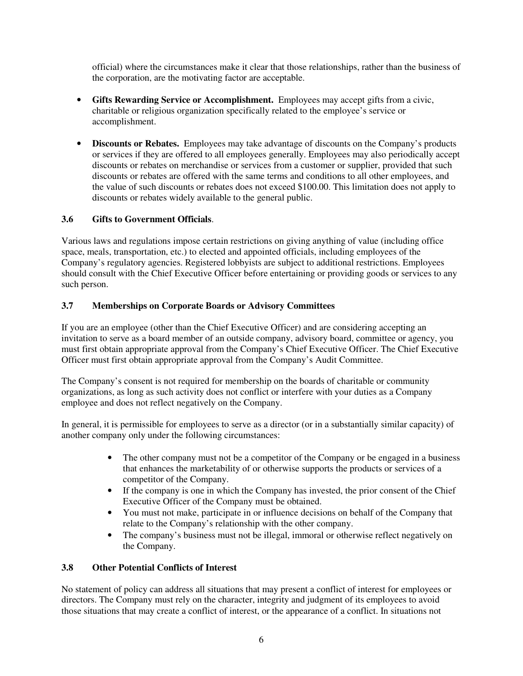official) where the circumstances make it clear that those relationships, rather than the business of the corporation, are the motivating factor are acceptable.

- **Gifts Rewarding Service or Accomplishment.** Employees may accept gifts from a civic, charitable or religious organization specifically related to the employee's service or accomplishment.
- **Discounts or Rebates.** Employees may take advantage of discounts on the Company's products or services if they are offered to all employees generally. Employees may also periodically accept discounts or rebates on merchandise or services from a customer or supplier, provided that such discounts or rebates are offered with the same terms and conditions to all other employees, and the value of such discounts or rebates does not exceed \$100.00. This limitation does not apply to discounts or rebates widely available to the general public.

### **3.6 Gifts to Government Officials**.

Various laws and regulations impose certain restrictions on giving anything of value (including office space, meals, transportation, etc.) to elected and appointed officials, including employees of the Company's regulatory agencies. Registered lobbyists are subject to additional restrictions. Employees should consult with the Chief Executive Officer before entertaining or providing goods or services to any such person.

### **3.7 Memberships on Corporate Boards or Advisory Committees**

If you are an employee (other than the Chief Executive Officer) and are considering accepting an invitation to serve as a board member of an outside company, advisory board, committee or agency, you must first obtain appropriate approval from the Company's Chief Executive Officer. The Chief Executive Officer must first obtain appropriate approval from the Company's Audit Committee.

The Company's consent is not required for membership on the boards of charitable or community organizations, as long as such activity does not conflict or interfere with your duties as a Company employee and does not reflect negatively on the Company.

In general, it is permissible for employees to serve as a director (or in a substantially similar capacity) of another company only under the following circumstances:

- The other company must not be a competitor of the Company or be engaged in a business that enhances the marketability of or otherwise supports the products or services of a competitor of the Company.
- If the company is one in which the Company has invested, the prior consent of the Chief Executive Officer of the Company must be obtained.
- You must not make, participate in or influence decisions on behalf of the Company that relate to the Company's relationship with the other company.
- The company's business must not be illegal, immoral or otherwise reflect negatively on the Company.

### **3.8 Other Potential Conflicts of Interest**

No statement of policy can address all situations that may present a conflict of interest for employees or directors. The Company must rely on the character, integrity and judgment of its employees to avoid those situations that may create a conflict of interest, or the appearance of a conflict. In situations not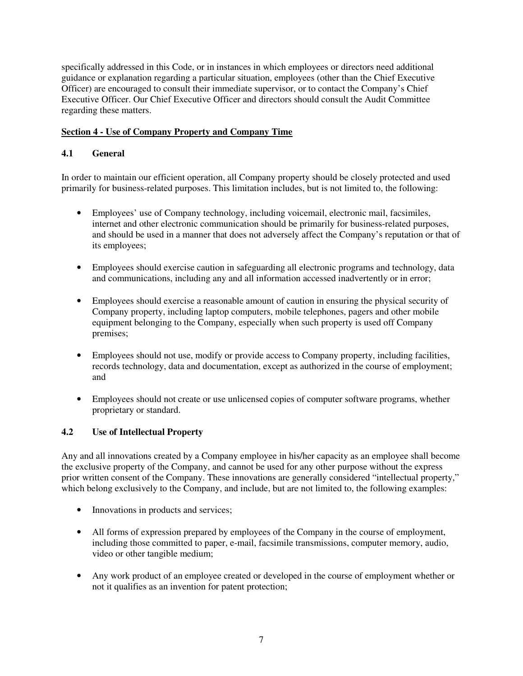specifically addressed in this Code, or in instances in which employees or directors need additional guidance or explanation regarding a particular situation, employees (other than the Chief Executive Officer) are encouraged to consult their immediate supervisor, or to contact the Company's Chief Executive Officer. Our Chief Executive Officer and directors should consult the Audit Committee regarding these matters.

### **Section 4 - Use of Company Property and Company Time**

## **4.1 General**

In order to maintain our efficient operation, all Company property should be closely protected and used primarily for business-related purposes. This limitation includes, but is not limited to, the following:

- Employees' use of Company technology, including voicemail, electronic mail, facsimiles, internet and other electronic communication should be primarily for business-related purposes, and should be used in a manner that does not adversely affect the Company's reputation or that of its employees;
- Employees should exercise caution in safeguarding all electronic programs and technology, data and communications, including any and all information accessed inadvertently or in error;
- Employees should exercise a reasonable amount of caution in ensuring the physical security of Company property, including laptop computers, mobile telephones, pagers and other mobile equipment belonging to the Company, especially when such property is used off Company premises;
- Employees should not use, modify or provide access to Company property, including facilities, records technology, data and documentation, except as authorized in the course of employment; and
- Employees should not create or use unlicensed copies of computer software programs, whether proprietary or standard.

# **4.2 Use of Intellectual Property**

Any and all innovations created by a Company employee in his/her capacity as an employee shall become the exclusive property of the Company, and cannot be used for any other purpose without the express prior written consent of the Company. These innovations are generally considered "intellectual property," which belong exclusively to the Company, and include, but are not limited to, the following examples:

- Innovations in products and services;
- All forms of expression prepared by employees of the Company in the course of employment, including those committed to paper, e-mail, facsimile transmissions, computer memory, audio, video or other tangible medium;
- Any work product of an employee created or developed in the course of employment whether or not it qualifies as an invention for patent protection;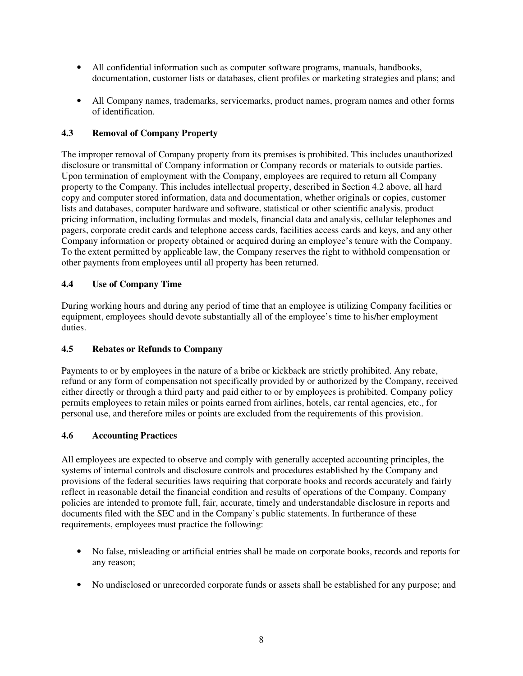- All confidential information such as computer software programs, manuals, handbooks, documentation, customer lists or databases, client profiles or marketing strategies and plans; and
- All Company names, trademarks, servicemarks, product names, program names and other forms of identification.

### **4.3 Removal of Company Property**

The improper removal of Company property from its premises is prohibited. This includes unauthorized disclosure or transmittal of Company information or Company records or materials to outside parties. Upon termination of employment with the Company, employees are required to return all Company property to the Company. This includes intellectual property, described in Section 4.2 above, all hard copy and computer stored information, data and documentation, whether originals or copies, customer lists and databases, computer hardware and software, statistical or other scientific analysis, product pricing information, including formulas and models, financial data and analysis, cellular telephones and pagers, corporate credit cards and telephone access cards, facilities access cards and keys, and any other Company information or property obtained or acquired during an employee's tenure with the Company. To the extent permitted by applicable law, the Company reserves the right to withhold compensation or other payments from employees until all property has been returned.

### **4.4 Use of Company Time**

During working hours and during any period of time that an employee is utilizing Company facilities or equipment, employees should devote substantially all of the employee's time to his/her employment duties.

### **4.5 Rebates or Refunds to Company**

Payments to or by employees in the nature of a bribe or kickback are strictly prohibited. Any rebate, refund or any form of compensation not specifically provided by or authorized by the Company, received either directly or through a third party and paid either to or by employees is prohibited. Company policy permits employees to retain miles or points earned from airlines, hotels, car rental agencies, etc., for personal use, and therefore miles or points are excluded from the requirements of this provision.

### **4.6 Accounting Practices**

All employees are expected to observe and comply with generally accepted accounting principles, the systems of internal controls and disclosure controls and procedures established by the Company and provisions of the federal securities laws requiring that corporate books and records accurately and fairly reflect in reasonable detail the financial condition and results of operations of the Company. Company policies are intended to promote full, fair, accurate, timely and understandable disclosure in reports and documents filed with the SEC and in the Company's public statements. In furtherance of these requirements, employees must practice the following:

- No false, misleading or artificial entries shall be made on corporate books, records and reports for any reason;
- No undisclosed or unrecorded corporate funds or assets shall be established for any purpose; and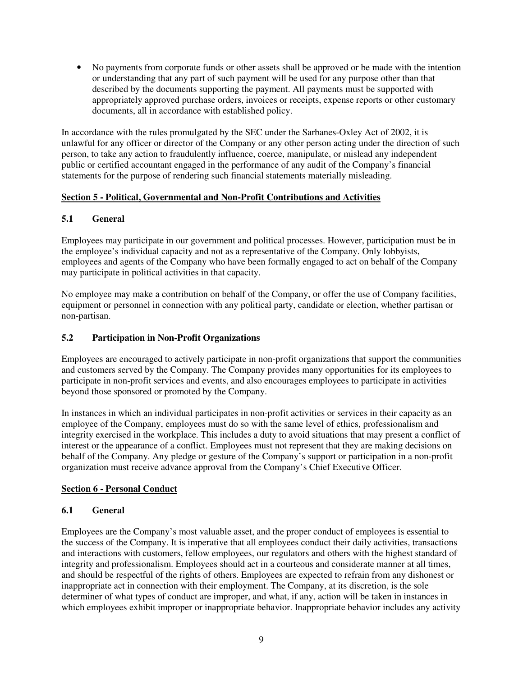• No payments from corporate funds or other assets shall be approved or be made with the intention or understanding that any part of such payment will be used for any purpose other than that described by the documents supporting the payment. All payments must be supported with appropriately approved purchase orders, invoices or receipts, expense reports or other customary documents, all in accordance with established policy.

In accordance with the rules promulgated by the SEC under the Sarbanes-Oxley Act of 2002, it is unlawful for any officer or director of the Company or any other person acting under the direction of such person, to take any action to fraudulently influence, coerce, manipulate, or mislead any independent public or certified accountant engaged in the performance of any audit of the Company's financial statements for the purpose of rendering such financial statements materially misleading.

### **Section 5 - Political, Governmental and Non-Profit Contributions and Activities**

### **5.1 General**

Employees may participate in our government and political processes. However, participation must be in the employee's individual capacity and not as a representative of the Company. Only lobbyists, employees and agents of the Company who have been formally engaged to act on behalf of the Company may participate in political activities in that capacity.

No employee may make a contribution on behalf of the Company, or offer the use of Company facilities, equipment or personnel in connection with any political party, candidate or election, whether partisan or non-partisan.

#### **5.2 Participation in Non-Profit Organizations**

Employees are encouraged to actively participate in non-profit organizations that support the communities and customers served by the Company. The Company provides many opportunities for its employees to participate in non-profit services and events, and also encourages employees to participate in activities beyond those sponsored or promoted by the Company.

In instances in which an individual participates in non-profit activities or services in their capacity as an employee of the Company, employees must do so with the same level of ethics, professionalism and integrity exercised in the workplace. This includes a duty to avoid situations that may present a conflict of interest or the appearance of a conflict. Employees must not represent that they are making decisions on behalf of the Company. Any pledge or gesture of the Company's support or participation in a non-profit organization must receive advance approval from the Company's Chief Executive Officer.

#### **Section 6 - Personal Conduct**

#### **6.1 General**

Employees are the Company's most valuable asset, and the proper conduct of employees is essential to the success of the Company. It is imperative that all employees conduct their daily activities, transactions and interactions with customers, fellow employees, our regulators and others with the highest standard of integrity and professionalism. Employees should act in a courteous and considerate manner at all times, and should be respectful of the rights of others. Employees are expected to refrain from any dishonest or inappropriate act in connection with their employment. The Company, at its discretion, is the sole determiner of what types of conduct are improper, and what, if any, action will be taken in instances in which employees exhibit improper or inappropriate behavior. Inappropriate behavior includes any activity